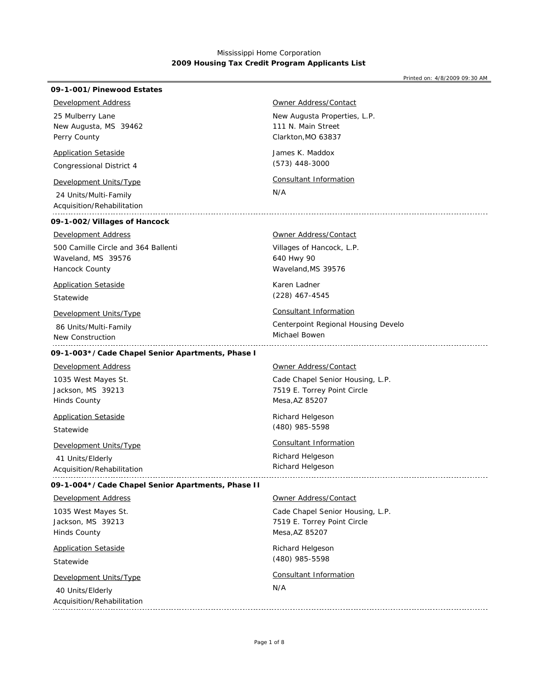| 09-1-001/Pinewood Estates                                                     |                                      |
|-------------------------------------------------------------------------------|--------------------------------------|
| <b>Development Address</b>                                                    | Owner Address/Contact                |
| 25 Mulberry Lane                                                              | New Augusta Properties, L.P.         |
| New Augusta, MS 39462                                                         | 111 N. Main Street                   |
| Perry County                                                                  | Clarkton, MO 63837                   |
| <b>Application Setaside</b>                                                   | James K. Maddox                      |
| Congressional District 4                                                      | $(573)$ 448-3000                     |
| Development Units/Type<br>24 Units/Multi-Family<br>Acquisition/Rehabilitation | <b>Consultant Information</b><br>N/A |
| 09-1-002/Villages of Hancock                                                  |                                      |
| <b>Development Address</b>                                                    | <b>Owner Address/Contact</b>         |
| 500 Camille Circle and 364 Ballenti                                           | Villages of Hancock, L.P.            |
| Waveland, MS 39576                                                            | 640 Hwy 90                           |
| Hancock County                                                                | Waveland, MS 39576                   |
| <b>Application Setaside</b>                                                   | Karen Ladner                         |
| Statewide                                                                     | $(228)$ 467-4545                     |
| Development Units/Type                                                        | <b>Consultant Information</b>        |
| 86 Units/Multi-Family                                                         | Centerpoint Regional Housing Develo  |
| New Construction                                                              | Michael Bowen                        |
| 09-1-003*/Cade Chapel Senior Apartments, Phase I                              |                                      |
| <b>Development Address</b>                                                    | Owner Address/Contact                |
| 1035 West Mayes St.                                                           | Cade Chapel Senior Housing, L.P.     |
| Jackson, MS 39213                                                             | 7519 E. Torrey Point Circle          |
| <b>Hinds County</b>                                                           | Mesa, AZ 85207                       |
| <b>Application Setaside</b>                                                   | Richard Helgeson                     |
| Statewide                                                                     | (480) 985-5598                       |
| <b>Development Units/Type</b>                                                 | <b>Consultant Information</b>        |
| 41 Units/Elderly                                                              | Richard Helgeson                     |
| Acquisition/Rehabilitation                                                    | Richard Helgeson                     |
| 09-1-004*/Cade Chapel Senior Apartments, Phase II                             |                                      |
| <b>Development Address</b>                                                    | Owner Address/Contact                |
| 1035 West Mayes St.                                                           | Cade Chapel Senior Housing, L.P.     |
| Jackson, MS 39213                                                             | 7519 E. Torrey Point Circle          |
| <b>Hinds County</b>                                                           | Mesa, AZ 85207                       |
| <b>Application Setaside</b>                                                   | Richard Helgeson                     |
| Statewide                                                                     | (480) 985-5598                       |
| Development Units/Type<br>40 Units/Elderly<br>Acquisition/Rehabilitation      | <b>Consultant Information</b><br>N/A |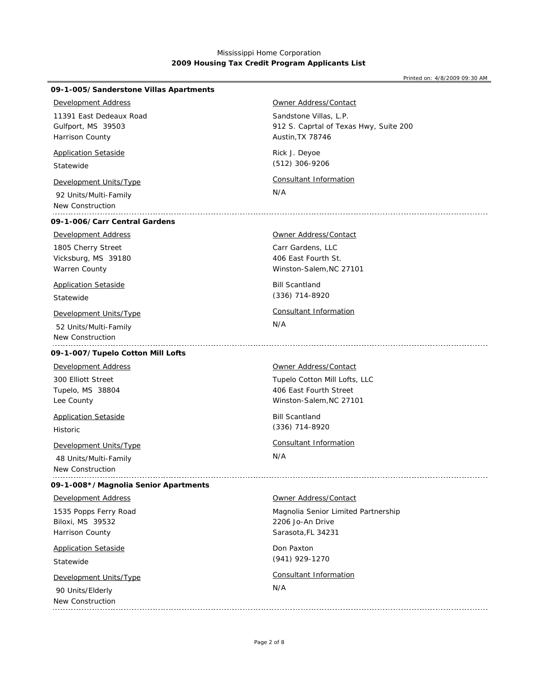| 09-1-005/Sanderstone Villas Apartments                                     |                                                                                      |
|----------------------------------------------------------------------------|--------------------------------------------------------------------------------------|
| <b>Development Address</b>                                                 | Owner Address/Contact                                                                |
| 11391 East Dedeaux Road<br>Gulfport, MS 39503<br>Harrison County           | Sandstone Villas, L.P.<br>912 S. Caprtal of Texas Hwy, Suite 200<br>Austin, TX 78746 |
| <b>Application Setaside</b><br>Statewide                                   | Rick J. Deyoe<br>(512) 306-9206                                                      |
| Development Units/Type<br>92 Units/Multi-Family<br>New Construction        | Consultant Information<br>N/A                                                        |
| 09-1-006/Carr Central Gardens                                              |                                                                                      |
| <b>Development Address</b>                                                 | <b>Owner Address/Contact</b>                                                         |
| 1805 Cherry Street<br>Vicksburg, MS 39180<br>Warren County                 | Carr Gardens, LLC<br>406 East Fourth St.<br>Winston-Salem, NC 27101                  |
| <b>Application Setaside</b><br>Statewide                                   | <b>Bill Scantland</b><br>(336) 714-8920                                              |
| Development Units/Type<br>52 Units/Multi-Family<br>New Construction        | <b>Consultant Information</b><br>N/A                                                 |
| 09-1-007/Tupelo Cotton Mill Lofts                                          |                                                                                      |
| <b>Development Address</b>                                                 | Owner Address/Contact                                                                |
| 300 Elliott Street<br>Tupelo, MS 38804<br>Lee County                       | Tupelo Cotton Mill Lofts, LLC<br>406 East Fourth Street<br>Winston-Salem, NC 27101   |
| <b>Application Setaside</b><br><b>Historic</b>                             | <b>Bill Scantland</b><br>(336) 714-8920                                              |
| <b>Development Units/Type</b><br>48 Units/Multi-Family<br>New Construction | Consultant Information<br>N/A                                                        |
| 09-1-008*/Magnolia Senior Apartments                                       |                                                                                      |
| <b>Development Address</b>                                                 | Owner Address/Contact                                                                |
| 1535 Popps Ferry Road<br>Biloxi, MS 39532<br>Harrison County               | Magnolia Senior Limited Partnership<br>2206 Jo-An Drive<br>Sarasota, FL 34231        |
| <b>Application Setaside</b><br>Statewide                                   | Don Paxton<br>(941) 929-1270                                                         |
| Development Units/Type<br>90 Units/Elderly<br>New Construction             | Consultant Information<br>N/A                                                        |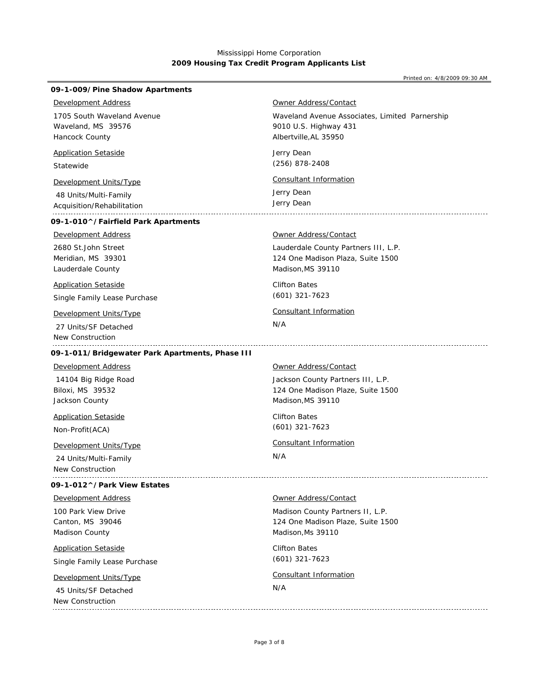| 09-1-009/Pine Shadow Apartments                 |                                                |
|-------------------------------------------------|------------------------------------------------|
| <b>Development Address</b>                      | Owner Address/Contact                          |
| 1705 South Waveland Avenue                      | Waveland Avenue Associates, Limited Parnership |
| Waveland, MS 39576<br>Hancock County            | 9010 U.S. Highway 431<br>Albertville, AL 35950 |
|                                                 |                                                |
| <b>Application Setaside</b>                     | Jerry Dean                                     |
| Statewide                                       | (256) 878-2408                                 |
| Development Units/Type                          | Consultant Information                         |
| 48 Units/Multi-Family                           | Jerry Dean                                     |
| Acquisition/Rehabilitation                      | Jerry Dean                                     |
| 09-1-010^/Fairfield Park Apartments             |                                                |
| <b>Development Address</b>                      | <b>Owner Address/Contact</b>                   |
| 2680 St.John Street                             | Lauderdale County Partners III, L.P.           |
| Meridian, MS 39301                              | 124 One Madison Plaza, Suite 1500              |
| Lauderdale County                               | Madison, MS 39110                              |
| <b>Application Setaside</b>                     | <b>Clifton Bates</b>                           |
| Single Family Lease Purchase                    | $(601)$ 321-7623                               |
| Development Units/Type                          | <b>Consultant Information</b>                  |
| 27 Units/SF Detached                            | N/A                                            |
| New Construction                                |                                                |
| 09-1-011/Bridgewater Park Apartments, Phase III |                                                |
| <b>Development Address</b>                      | <u>Owner Address/Contact</u>                   |
| 14104 Big Ridge Road                            | Jackson County Partners III, L.P.              |
| Biloxi, MS 39532                                | 124 One Madison Plaze, Suite 1500              |
| Jackson County                                  | Madison, MS 39110                              |
| <b>Application Setaside</b>                     | <b>Clifton Bates</b>                           |
| Non-Profit(ACA)                                 | $(601)$ 321-7623                               |
| Development Units/Type                          | <b>Consultant Information</b>                  |
| 24 Units/Multi-Family                           | N/A                                            |
| New Construction                                |                                                |
| 09-1-012^/Park View Estates                     |                                                |
| <b>Development Address</b>                      | <b>Owner Address/Contact</b>                   |
| 100 Park View Drive                             | Madison County Partners II, L.P.               |
| Canton, MS 39046                                | 124 One Madison Plaze, Suite 1500              |
| Madison County                                  | Madison, Ms 39110                              |
| <b>Application Setaside</b>                     | <b>Clifton Bates</b>                           |
| Single Family Lease Purchase                    | $(601)$ 321-7623                               |
| Development Units/Type                          | Consultant Information                         |
| 45 Units/SF Detached                            | N/A                                            |
|                                                 |                                                |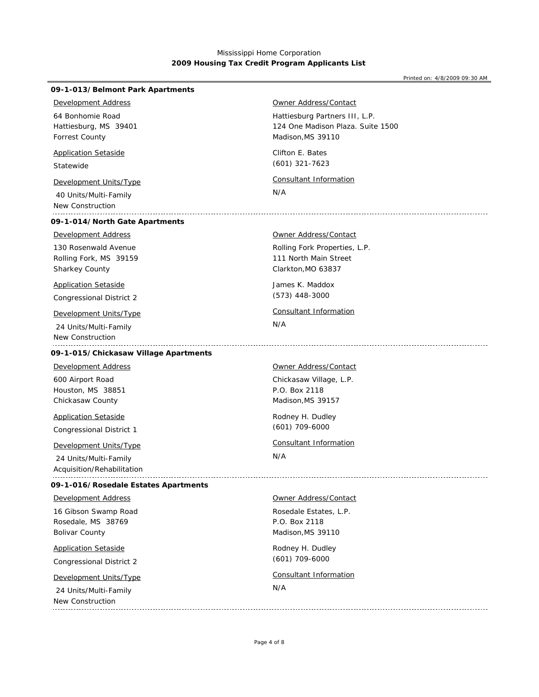| 09-1-013/Belmont Park Apartments                                           |                                                                                          |
|----------------------------------------------------------------------------|------------------------------------------------------------------------------------------|
| <b>Development Address</b>                                                 | Owner Address/Contact                                                                    |
| 64 Bonhomie Road<br>Hattiesburg, MS 39401<br>Forrest County                | Hattiesburg Partners III, L.P.<br>124 One Madison Plaza. Suite 1500<br>Madison, MS 39110 |
| <b>Application Setaside</b><br>Statewide                                   | Clifton E. Bates<br>$(601)$ 321-7623                                                     |
| Development Units/Type<br>40 Units/Multi-Family<br><b>New Construction</b> | Consultant Information<br>N/A                                                            |
| 09-1-014/North Gate Apartments                                             |                                                                                          |
| <b>Development Address</b>                                                 | <b>Owner Address/Contact</b>                                                             |
| 130 Rosenwald Avenue<br>Rolling Fork, MS 39159<br>Sharkey County           | Rolling Fork Properties, L.P.<br>111 North Main Street<br>Clarkton, MO 63837             |
| <b>Application Setaside</b><br><b>Congressional District 2</b>             | James K. Maddox<br>$(573)$ 448-3000                                                      |
| Development Units/Type                                                     | <b>Consultant Information</b>                                                            |
| 24 Units/Multi-Family<br>New Construction                                  | N/A                                                                                      |
| 09-1-015/Chickasaw Village Apartments                                      |                                                                                          |
| <b>Development Address</b>                                                 | Owner Address/Contact                                                                    |
| 600 Airport Road<br>Houston, MS 38851<br>Chickasaw County                  | Chickasaw Village, L.P.<br>P.O. Box 2118<br>Madison, MS 39157                            |
| <b>Application Setaside</b><br>Congressional District 1                    | Rodney H. Dudley<br>$(601)$ 709-6000                                                     |
| <b>Development Units/Type</b>                                              | Consultant Information                                                                   |
| 24 Units/Multi-Family<br>Acquisition/Rehabilitation                        | N/A                                                                                      |
| 09-1-016/Rosedale Estates Apartments                                       |                                                                                          |
| <b>Development Address</b>                                                 | Owner Address/Contact                                                                    |
| 16 Gibson Swamp Road<br>Rosedale, MS 38769<br><b>Bolivar County</b>        | Rosedale Estates, L.P.<br>P.O. Box 2118<br>Madison, MS 39110                             |
| <b>Application Setaside</b><br>Congressional District 2                    | Rodney H. Dudley<br>$(601)$ 709-6000                                                     |
| Development Units/Type                                                     | <b>Consultant Information</b>                                                            |
| 24 Units/Multi-Family<br>New Construction                                  | N/A                                                                                      |
|                                                                            |                                                                                          |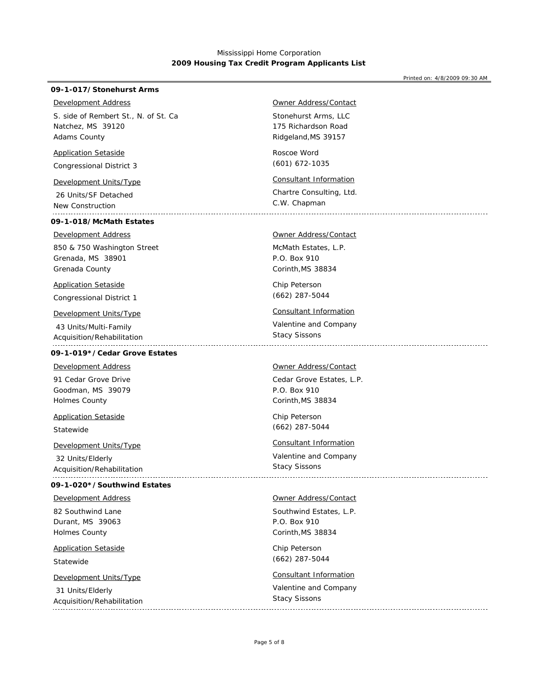#### Printed on: 4/8/2009 09:30 AM

## **09-1-017/Stonehurst Arms**

## *Development Address*

Natchez, MS 39120 Adams County S. side of Rembert St., N. of St. Ca

### *Application Setaside*

Congressional District 3

 26 Units/SF Detached New Construction

## **09-1-018/McMath Estates**

#### *Development Address*

Grenada, MS 38901 Grenada County 850 & 750 Washington Street

## *Application Setaside*

Congressional District 1

## *Development Units/Type Consultant Information*

 43 Units/Multi-Family Acquisition/Rehabilitation

## **09-1-019\*/Cedar Grove Estates**

91 Cedar Grove Drive *Development Address*

Goodman, MS 39079 Holmes County

Statewide *Application Setaside*

*Development Units/Type Consultant Information*

 32 Units/Elderly Acquisition/Rehabilitation

## **09-1-020\*/Southwind Estates**

#### *Development Address*

Durant, MS 39063 Holmes County 82 Southwind Lane

# *Application Setaside*

Statewide

## *Development Units/Type Consultant Information*

 31 Units/Elderly Acquisition/Rehabilitation 

## *Owner Address/Contact*

Stonehurst Arms, LLC Ridgeland,MS 39157 175 Richardson Road

Roscoe Word (601) 672-1035

## *Development Units/Type Consultant Information*

Chartre Consulting, Ltd. C.W. Chapman

## *Owner Address/Contact*

McMath Estates, L.P. Corinth,MS 38834 P.O. Box 910

Chip Peterson (662) 287-5044

Valentine and Company Stacy Sissons

#### *Owner Address/Contact*

Cedar Grove Estates, L.P. Corinth,MS 38834 P.O. Box 910

Chip Peterson (662) 287-5044

Valentine and Company Stacy Sissons 

## *Owner Address/Contact*

Southwind Estates, L.P. Corinth,MS 38834 P.O. Box 910

Chip Peterson (662) 287-5044

Valentine and Company Stacy Sissons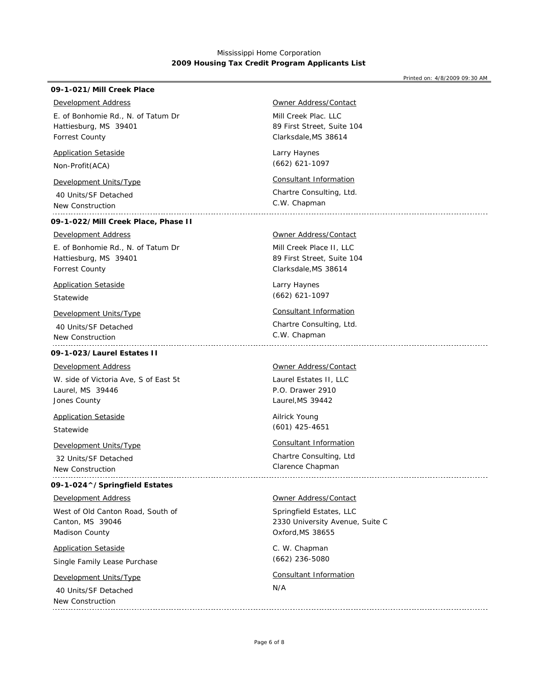## **09-1-021/Mill Creek Place**

## *Development Address*

Hattiesburg, MS 39401 Forrest County E. of Bonhomie Rd., N. of Tatum Dr

## *Application Setaside*

Non-Profit(ACA)

## *Development Units/Type Consultant Information*

 40 Units/SF Detached New Construction

## **09-1-022/Mill Creek Place, Phase II**

## *Development Address*

Hattiesburg, MS 39401 Forrest County E. of Bonhomie Rd., N. of Tatum Dr

## *Application Setaside*

Statewide

 40 Units/SF Detached New Construction .......................

## **09-1-023/Laurel Estates II**

#### *Development Address*

Laurel, MS 39446 Jones County W. side of Victoria Ave, S of East 5t

*Application Setaside*

## Statewide

*Development Units/Type Consultant Information*

 32 Units/SF Detached New Construction 

## **09-1-024^/Springfield Estates**

## *Development Address*

Canton, MS 39046 Madison County West of Old Canton Road, South of

## *Application Setaside*

Single Family Lease Purchase

## *Development Units/Type Consultant Information*

 40 Units/SF Detached New Construction 

## *Owner Address/Contact*

Mill Creek Plac. LLC Clarksdale,MS 38614 89 First Street, Suite 104

Larry Haynes (662) 621-1097

Chartre Consulting, Ltd. C.W. Chapman

## *Owner Address/Contact*

Mill Creek Place II, LLC Clarksdale,MS 38614 89 First Street, Suite 104

Larry Haynes (662) 621-1097

## *Development Units/Type Consultant Information*

Chartre Consulting, Ltd. C.W. Chapman

### *Owner Address/Contact*

Laurel Estates II, LLC Laurel,MS 39442 P.O. Drawer 2910

Ailrick Young (601) 425-4651

Chartre Consulting, Ltd Clarence Chapman

### *Owner Address/Contact*

Springfield Estates, LLC Oxford,MS 38655 2330 University Avenue, Suite C

C. W. Chapman (662) 236-5080

### N/A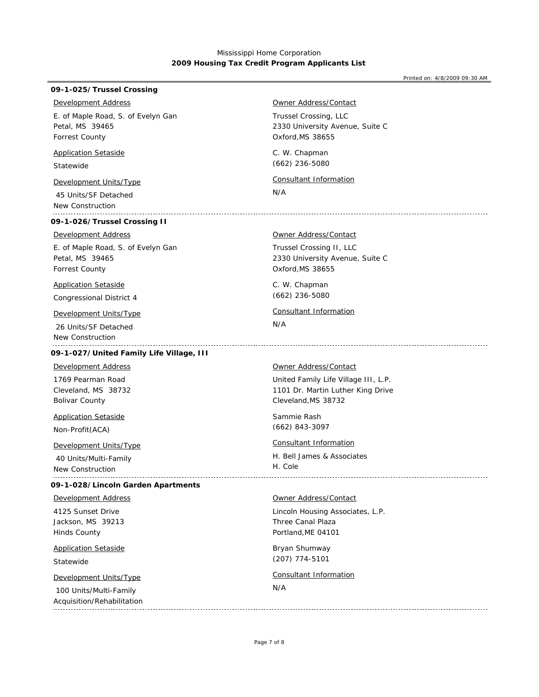Printed on: 4/8/2009 09:30 AM

## **09-1-025/Trussel Crossing**

## *Development Address*

Petal, MS 39465 Forrest County E. of Maple Road, S. of Evelyn Gan

## *Application Setaside*

Statewide

 45 Units/SF Detached New Construction

## **09-1-026/Trussel Crossing II**

### *Development Address*

Petal, MS 39465 Forrest County E. of Maple Road, S. of Evelyn Gan

## *Application Setaside*

Congressional District 4

 26 Units/SF Detached New Construction 

## **09-1-027/United Family Life Village, III**

Cleveland, MS 38732 Bolivar County 1769 Pearman Road *Development Address*

*Application Setaside*

Non-Profit(ACA)

 40 Units/Multi-Family New Construction

#### **09-1-028/Lincoln Garden Apartments**

## *Development Address*

Jackson, MS 39213 Hinds County 4125 Sunset Drive

## *Application Setaside*

Statewide

 100 Units/Multi-Family Acquisition/Rehabilitation

## *Owner Address/Contact*

Trussel Crossing, LLC Oxford,MS 38655 2330 University Avenue, Suite C

C. W. Chapman (662) 236-5080

## *Development Units/Type Consultant Information*

N/A

### *Owner Address/Contact*

Trussel Crossing II, LLC Oxford,MS 38655 2330 University Avenue, Suite C

C. W. Chapman (662) 236-5080

## *Development Units/Type Consultant Information*

N/A

## *Owner Address/Contact*

United Family Life Village III, L.P. Cleveland,MS 38732 1101 Dr. Martin Luther King Drive

Sammie Rash (662) 843-3097

## *Development Units/Type Consultant Information*

H. Bell James & Associates H. Cole 

### *Owner Address/Contact*

Lincoln Housing Associates, L.P. Portland,ME 04101 Three Canal Plaza

Bryan Shumway (207) 774-5101

## *Development Units/Type Consultant Information*

### N/A